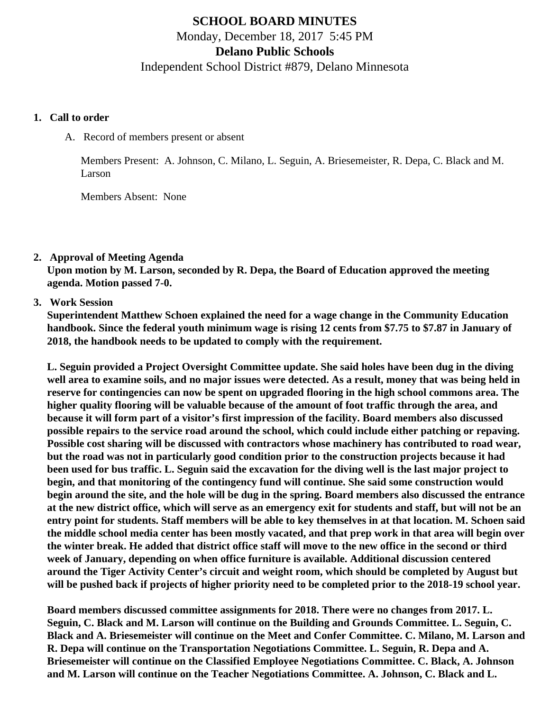# **SCHOOL BOARD MINUTES** Monday, December 18, 2017 5:45 PM **Delano Public Schools**

Independent School District #879, Delano Minnesota

### **1. Call to order**

A. Record of members present or absent

Members Present: A. Johnson, C. Milano, L. Seguin, A. Briesemeister, R. Depa, C. Black and M. Larson

Members Absent: None

**2. Approval of Meeting Agenda**

**Upon motion by M. Larson, seconded by R. Depa, the Board of Education approved the meeting agenda. Motion passed 7-0.**

**3. Work Session**

**Superintendent Matthew Schoen explained the need for a wage change in the Community Education handbook. Since the federal youth minimum wage is rising 12 cents from \$7.75 to \$7.87 in January of 2018, the handbook needs to be updated to comply with the requirement.**

**L. Seguin provided a Project Oversight Committee update. She said holes have been dug in the diving well area to examine soils, and no major issues were detected. As a result, money that was being held in reserve for contingencies can now be spent on upgraded flooring in the high school commons area. The higher quality flooring will be valuable because of the amount of foot traffic through the area, and because it will form part of a visitor's first impression of the facility. Board members also discussed possible repairs to the service road around the school, which could include either patching or repaving. Possible cost sharing will be discussed with contractors whose machinery has contributed to road wear, but the road was not in particularly good condition prior to the construction projects because it had been used for bus traffic. L. Seguin said the excavation for the diving well is the last major project to begin, and that monitoring of the contingency fund will continue. She said some construction would begin around the site, and the hole will be dug in the spring. Board members also discussed the entrance at the new district office, which will serve as an emergency exit for students and staff, but will not be an entry point for students. Staff members will be able to key themselves in at that location. M. Schoen said the middle school media center has been mostly vacated, and that prep work in that area will begin over the winter break. He added that district office staff will move to the new office in the second or third week of January, depending on when office furniture is available. Additional discussion centered around the Tiger Activity Center's circuit and weight room, which should be completed by August but will be pushed back if projects of higher priority need to be completed prior to the 2018-19 school year.**

**Board members discussed committee assignments for 2018. There were no changes from 2017. L. Seguin, C. Black and M. Larson will continue on the Building and Grounds Committee. L. Seguin, C. Black and A. Briesemeister will continue on the Meet and Confer Committee. C. Milano, M. Larson and R. Depa will continue on the Transportation Negotiations Committee. L. Seguin, R. Depa and A. Briesemeister will continue on the Classified Employee Negotiations Committee. C. Black, A. Johnson and M. Larson will continue on the Teacher Negotiations Committee. A. Johnson, C. Black and L.**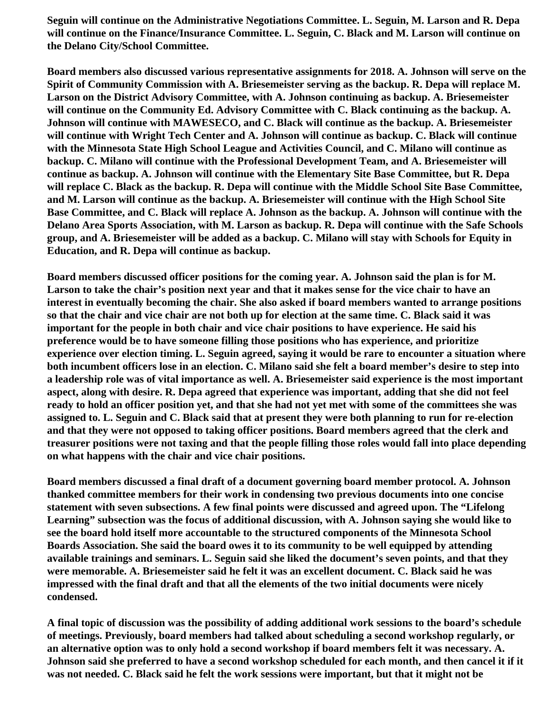**Seguin will continue on the Administrative Negotiations Committee. L. Seguin, M. Larson and R. Depa will continue on the Finance/Insurance Committee. L. Seguin, C. Black and M. Larson will continue on the Delano City/School Committee.**

**Board members also discussed various representative assignments for 2018. A. Johnson will serve on the Spirit of Community Commission with A. Briesemeister serving as the backup. R. Depa will replace M. Larson on the District Advisory Committee, with A. Johnson continuing as backup. A. Briesemeister will continue on the Community Ed. Advisory Committee with C. Black continuing as the backup. A. Johnson will continue with MAWESECO, and C. Black will continue as the backup. A. Briesemeister will continue with Wright Tech Center and A. Johnson will continue as backup. C. Black will continue with the Minnesota State High School League and Activities Council, and C. Milano will continue as backup. C. Milano will continue with the Professional Development Team, and A. Briesemeister will continue as backup. A. Johnson will continue with the Elementary Site Base Committee, but R. Depa will replace C. Black as the backup. R. Depa will continue with the Middle School Site Base Committee, and M. Larson will continue as the backup. A. Briesemeister will continue with the High School Site Base Committee, and C. Black will replace A. Johnson as the backup. A. Johnson will continue with the Delano Area Sports Association, with M. Larson as backup. R. Depa will continue with the Safe Schools group, and A. Briesemeister will be added as a backup. C. Milano will stay with Schools for Equity in Education, and R. Depa will continue as backup.**

**Board members discussed officer positions for the coming year. A. Johnson said the plan is for M. Larson to take the chair's position next year and that it makes sense for the vice chair to have an interest in eventually becoming the chair. She also asked if board members wanted to arrange positions so that the chair and vice chair are not both up for election at the same time. C. Black said it was important for the people in both chair and vice chair positions to have experience. He said his preference would be to have someone filling those positions who has experience, and prioritize experience over election timing. L. Seguin agreed, saying it would be rare to encounter a situation where both incumbent officers lose in an election. C. Milano said she felt a board member's desire to step into a leadership role was of vital importance as well. A. Briesemeister said experience is the most important aspect, along with desire. R. Depa agreed that experience was important, adding that she did not feel ready to hold an officer position yet, and that she had not yet met with some of the committees she was assigned to. L. Seguin and C. Black said that at present they were both planning to run for re-election and that they were not opposed to taking officer positions. Board members agreed that the clerk and treasurer positions were not taxing and that the people filling those roles would fall into place depending on what happens with the chair and vice chair positions.**

**Board members discussed a final draft of a document governing board member protocol. A. Johnson thanked committee members for their work in condensing two previous documents into one concise statement with seven subsections. A few final points were discussed and agreed upon. The "Lifelong Learning" subsection was the focus of additional discussion, with A. Johnson saying she would like to see the board hold itself more accountable to the structured components of the Minnesota School Boards Association. She said the board owes it to its community to be well equipped by attending available trainings and seminars. L. Seguin said she liked the document's seven points, and that they were memorable. A. Briesemeister said he felt it was an excellent document. C. Black said he was impressed with the final draft and that all the elements of the two initial documents were nicely condensed.**

**A final topic of discussion was the possibility of adding additional work sessions to the board's schedule of meetings. Previously, board members had talked about scheduling a second workshop regularly, or an alternative option was to only hold a second workshop if board members felt it was necessary. A. Johnson said she preferred to have a second workshop scheduled for each month, and then cancel it if it was not needed. C. Black said he felt the work sessions were important, but that it might not be**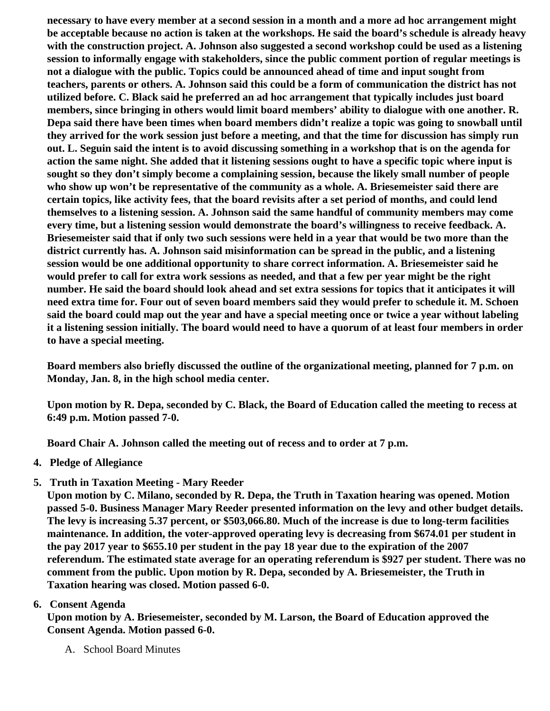necessary to have every member at a second session in a month and a more ad hoc arrangement might be acceptable because no action is taken at the workshops. He said the board's schedule is already heav with the construction project. A. Johnson also suggested a second workshop could be used as a listening session to informally engage with stakeholders, since the public comment portion of regular meetings is not a dialogue with the public. Topics could be announced ahead of time and input sought from teachers, parents or others. A. Johnson said this could be a form of communication the district has not utilized before. C. Black said he preferred an ad hoc arrangement that typically includes just board members, since bringing in others would limit board members' ability to dialogue with one another. R. Depa said there have been times when board members didn't realize a topic was going to snowball until they arrived for the work session just before a meeting, and that the time for discussion has simply run out. L. Seguin said the intent is to avoid discussing something in a workshop that is on the agenda for action the same night. She added that it listening sessions ought to have a specific topic where input is sought so they don't simply become a complaining session, because the likely small number of people who show up won't be representative of the community as a whole. A. Briesemeister said there are certain topics, like activity fees, that the board revisits after a set period of months, and could lend themselves to a listening session. A. Johnson said the same handful of community members may come every time, but a listening session would demonstrate the board's willingness to receive feedback. A. Briesemeister said that if only two such sessions were held in a year that would be two more than the district currently has. A. Johnson said misinformation can be spread in the public, and a listening session would be one additional opportunity to share correct information. A. Briesemeister said he would prefer to call for extra work sessions as needed, and that a few per year might be the right number. He said the board should look ahead and set extra sessions for topics that it anticipates it will need extra time for. Four out of seven board members said they would prefer to schedule it. M. Schoen said the board could map out the year and have a special meeting once or twice a year without labeling it a listening session initially. The board would need to have a quorum of at least four members in order to have a special meeting.

Board members also briefly discussed the outline of the organizational meeting, planned for 7 p.m. on Monday, Jan. 8, in the high school media center.

Upon motion by R. Depa, seconded by C. Black, the Board of Education called the meeting to recess at 6:49 p.m. Motion passed 7-0.

Board Chair A. Johnson called the meeting out of recess and to order at 7 p.m.

- 4. Pledge of Allegiance
- 5. [Truth in Taxation Meeting](/docs/district/Business_Office/Truth_in_Taxation_Dec_17.pdf) Mary Reeder

Upon motion by C. Milano, seconded by R. Depa, the Truth in Taxation hearing was opened. Motion passed 5-0. Business Manager Mary Reeder presented information on the levy and other budget details. The levy is increasing 5.37 percent, or \$503,066.80. Much of the increase is due to long-term facilities maintenance. In addition, the voter-approved operating levy is decreasing from \$674.01 per student in the pay 2017 year to \$655.10 per student in the pay 18 year due to the expiration of the 2007 referendum. The estimated state average for an operating referendum is \$927 per student. There was no comment from the public. Upon motion by R. Depa, seconded by A. Briesemeister, the Truth in Taxation hearing was closed. Motion passed 6-0.

## 6. Consent Agenda

Upon motion by A. Briesemeister, seconded by M. Larson, the Board of Education approved the Consent Agenda. Motion passed 6-0.

A. School Board Minutes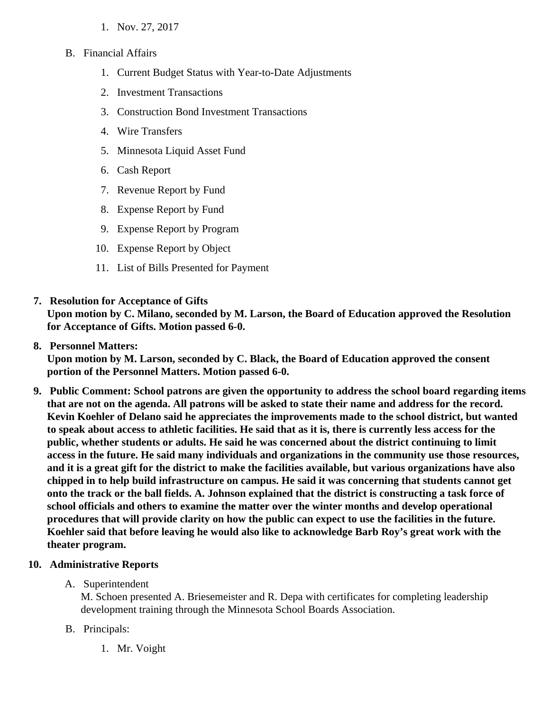- 1. [Nov. 27, 2017](/docs/district/2017_18/School_Board_Items/December_2017/School_Board_Minutes_Nov._27_FINAL.pdf)
- B. Financial Affairs
	- 1. [Current Budget Status with Year-to-Date Adjustm](/docs/district/Business_Office/FY18_Budget_Report_Dec.pdf)ents
	- 2. [Investment Transactio](/docs/district/Business_Office/November_2017_Investments.pdf)ns
	- 3. [Construction Bond Investment Transacti](/docs/district/Business_Office/Bond_Investment_schedule_Nov_17.pdf)ons
	- 4. [Wire Transfer](/docs/district/Business_Office/November_2017_Wire_Transfers.pdf)s
	- 5. [Minnesota Liquid Asset Fun](/docs/district/Business_Office/November_2017_LAF.pdf)d
	- 6. [Cash Repo](/docs/district/Business_Office/November_2017_Cash_Report.pdf)rt
	- 7. [Revenue Report by Fu](/docs/district/Business_Office/SCHOOL_BOARD_REPORTS_-_REVENUE_BY_FUND_TOTAL__(Date__6_2018).pdf)nd
	- 8. [Expense Report by Fu](/docs/district/Business_Office/SCHOOL_BOARD_REPORTS_-_EXP_BY_FUND_TOTAL__(Date__6_2018).pdf)nd
	- 9. [Expense Report by Progra](/docs/district/Business_Office/SCHOOL_BOARD_REPORTS_-_EXPENDITURES_BY_PROGRAM__(Date__6_2018).pdf)m
	- 10. [Expense Report by Obje](/docs/district/Business_Office/SCHOOL_BOARD_REPORTS_-_EXPENDITURES_BY_OBJECT__(Date__6_2018).pdf)ct
	- 11. [List of Bills Presented for Payme](/docs/district/Business_Office/Monthly_Bills.pdf)nt
- 7. [Resolution for Acceptance of Gifts](/docs/district/Business_Office/Resolution_for_Acceptance_of_Gifts_12.18.17.pdf)

Upon motion by C. Milano, seconded by M. Larson, the Board of Education approved the Resolution for Acceptance of Gifts. Motion passed 6-0.

8. [Personnel Matters:](/docs/district/Business_Office/12.18.17_Personnel.pdf)

Upon motion by M. Larson, seconded by C. Black, the Board of Education approved the consent portion of the Personnel Matters. Motion passed 6-0.

- 9. Public Comment: School patrons are given the opportunity to address the school board regarding items that are not on the agenda. All patrons will be asked to state their name and address for the record. Kevin Koehler of Delano said he appreciates the improvements made to the school district, but wanted to speak about access to athletic facilities. He said that as it is, there is currently less access for the public, whether students or adults. He said he was concerned about the district continuing to limit access in the future. He said many individuals and organizations in the community use those resources, and it is a great gift for the district to make the facilities available, but various organizations have also chipped in to help build infrastructure on campus. He said it was concerning that students cannot get onto the track or the ball fields. A. Johnson explained that the district is constructing a task force of school officials and others to examine the matter over the winter months and develop operational procedures that will provide clarity on how the public can expect to use the facilities in the future. Koehler said that before leaving he would also like to acknowledge Barb Roy's great work with the theater program.
- 10. Administrative Reports
	- A. Superintendent

M. Schoen presented A. Briesemeister and R. Depa with certificates for completing leadership development training through the Minnesota School Boards Association.

- B. Principals:
	- 1. Mr. Voight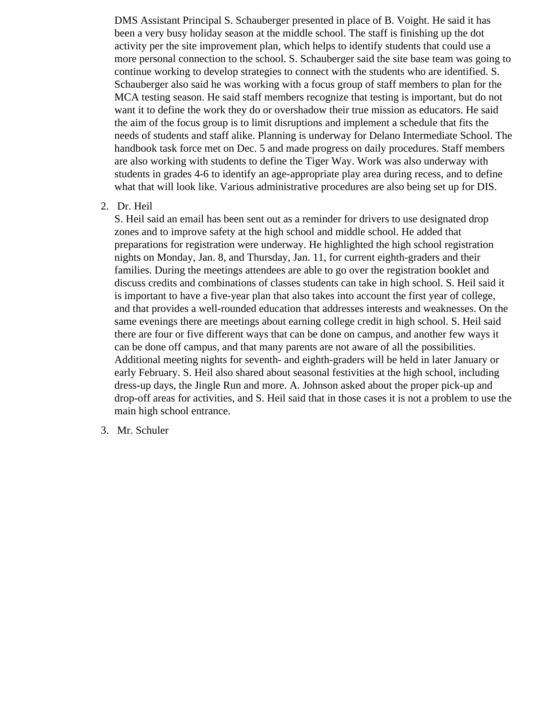DMS Assistant Principal S. Schauberger presented in place of B. Voight. He said it has been a very busy holiday season at the middle school. The staff is finishing up the dot activity per the site improvement plan, which helps to identify students that could use a more personal connection to the school. S. Schauberger said the site base team was going to continue working to develop strategies to connect with the students who are identified. S. Schauberger also said he was working with a focus group of staff members to plan for the MCA testing season. He said staff members recognize that testing is important, but do not want it to define the work they do or overshadow their true mission as educators. He said the aim of the focus group is to limit disruptions and implement a schedule that fits the needs of students and staff alike. Planning is underway for Delano Intermediate School. The handbook task force met on Dec. 5 and made progress on daily procedures. Staff members are also working with students to define the Tiger Way. Work was also underway with students in grades 4-6 to identify an age-appropriate play area during recess, and to define what that will look like. Various administrative procedures are also being set up for DIS.

2. Dr. Heil

S. Heil said an email has been sent out as a reminder for drivers to use designated drop zones and to improve safety at the high school and middle school. He added that preparations for registration were underway. He highlighted the high school registration nights on Monday, Jan. 8, and Thursday, Jan. 11, for current eighth-graders and their families. During the meetings attendees are able to go over the registration booklet and discuss credits and combinations of classes students can take in high school. S. Heil said it is important to have a five-year plan that also takes into account the first year of college, and that provides a well-rounded education that addresses interests and weaknesses. On the same evenings there are meetings about earning college credit in high school. S. Heil said there are four or five different ways that can be done on campus, and another few ways it can be done off campus, and that many parents are not aware of all the possibilities. Additional meeting nights for seventh- and eighth-graders will be held in later January or early February. S. Heil also shared about seasonal festivities at the high school, including dress-up days, the Jingle Run and more. A. Johnson asked about the proper pick-up and drop-off areas for activities, and S. Heil said that in those cases it is not a problem to use the main high school entrance.

3. Mr. Schuler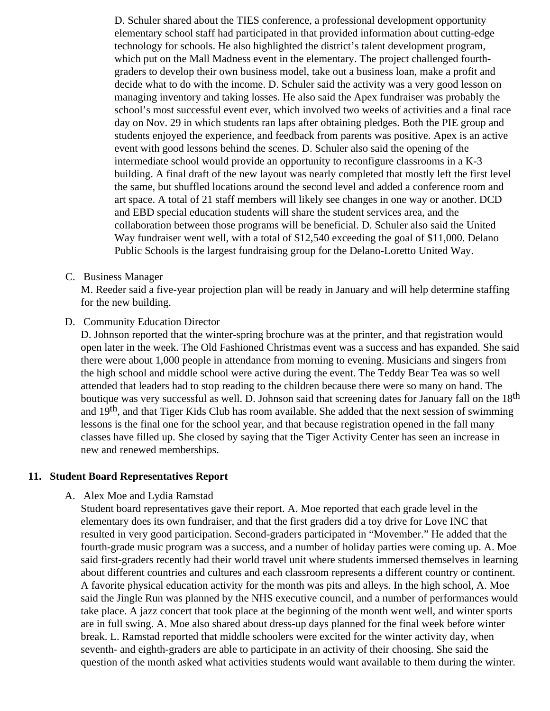D. Schuler shared about the TIES conference, a professional development opportunity elementary school staff had participated in that provided information about cutting-edge technology for schools. He also highlighted the district's talent development program, which put on the Mall Madness event in the elementary. The project challenged fourthgraders to develop their own business model, take out a business loan, make a profit and decide what to do with the income. D. Schuler said the activity was a very good lesson on managing inventory and taking losses. He also said the Apex fundraiser was probably the school's most successful event ever, which involved two weeks of activities and a final race day on Nov. 29 in which students ran laps after obtaining pledges. Both the PIE group and students enjoyed the experience, and feedback from parents was positive. Apex is an active event with good lessons behind the scenes. D. Schuler also said the opening of the intermediate school would provide an opportunity to reconfigure classrooms in a K-3 building. A final draft of the new layout was nearly completed that mostly left the first level the same, but shuffled locations around the second level and added a conference room and art space. A total of 21 staff members will likely see changes in one way or another. DCD and EBD special education students will share the student services area, and the collaboration between those programs will be beneficial. D. Schuler also said the United Way fundraiser went well, with a total of \$12,540 exceeding the goal of \$11,000. Delano Public Schools is the largest fundraising group for the Delano-Loretto United Way.

#### C. Business Manager

M. Reeder said a five-year projection plan will be ready in January and will help determine staffing for the new building.

#### D. Community Education Director

D. Johnson reported that the winter-spring brochure was at the printer, and that registration would open later in the week. The Old Fashioned Christmas event was a success and has expanded. She said there were about 1,000 people in attendance from morning to evening. Musicians and singers from the high school and middle school were active during the event. The Teddy Bear Tea was so well attended that leaders had to stop reading to the children because there were so many on hand. The boutique was very successful as well. D. Johnson said that screening dates for January fall on the 18<sup>th</sup> and 19<sup>th</sup>, and that Tiger Kids Club has room available. She added that the next session of swimming lessons is the final one for the school year, and that because registration opened in the fall many classes have filled up. She closed by saying that the Tiger Activity Center has seen an increase in new and renewed memberships.

#### **11. Student Board Representatives Report**

#### A. Alex Moe and Lydia Ramstad

Student board representatives gave their report. A. Moe reported that each grade level in the elementary does its own fundraiser, and that the first graders did a toy drive for Love INC that resulted in very good participation. Second-graders participated in "Movember." He added that the fourth-grade music program was a success, and a number of holiday parties were coming up. A. Moe said first-graders recently had their world travel unit where students immersed themselves in learning about different countries and cultures and each classroom represents a different country or continent. A favorite physical education activity for the month was pits and alleys. In the high school, A. Moe said the Jingle Run was planned by the NHS executive council, and a number of performances would take place. A jazz concert that took place at the beginning of the month went well, and winter sports are in full swing. A. Moe also shared about dress-up days planned for the final week before winter break. L. Ramstad reported that middle schoolers were excited for the winter activity day, when seventh- and eighth-graders are able to participate in an activity of their choosing. She said the question of the month asked what activities students would want available to them during the winter.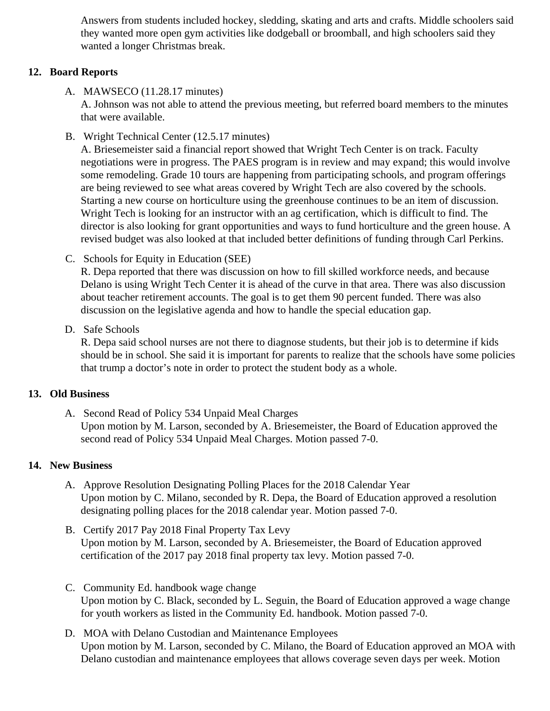Answers from students included hockey, sledding, skating and arts and crafts. Middle schoolers sa they wanted more open gym activities like dodgeball or broomball, and high schoolers said they wanted a longer Christmas break.

### 12. Board Reports

A. MAWSECO [\(11.28.17 minutes](/docs/district/2017_18/School_Board_Items/December_2017/MAWSECO_minutes_11.28.2017.pdf))

A. Johnson was not able to attend the previous meeting, but referred board members to the minute that were available.

B. Wright Technical Center (2.5.17 minutes)

A. Briesemeister said a financial report showed that Wright Tech Center is on track. Faculty negotiations were in progress. The PAES program is in review and may expand; this would involve some remodeling. Grade 10 tours are happening from participating schools, and program offerings are being reviewed to see what areas covered by Wright Tech are also covered by the schools. Starting a new course on horticulture using the greenhouse continues to be an item of discussion. Wright Tech is looking for an instructor with an ag certification, which is difficult to find. The director is also looking for grant opportunities and ways to fund horticulture and the green house. A revised budget was also looked at that included better definitions of funding through Carl Perkins.

C. Schools for Equity in Education (SEE)

R. Depa reported that there was discussion on how to fill skilled workforce needs, and because Delano is using Wright Tech Center it is ahead of the curve in that area. There was also discussior about teacher retirement accounts. The goal is to get them 90 percent funded. There was also discussion on the legislative agenda and how to handle the special education gap.

D. Safe Schools

R. Depa said school nurses are not there to diagnose students, but their job is to determine if kids should be in school. She said it is important for parents to realize that the schools have some polic that trump a doctor's note in order to protect the student body as a whole.

## 13. Old Business

A. Second Read [of Policy 534 Unpaid Meal Charg](/docs/district/Business_Office/534_Unpaid_Meal_Charges_-_Delano.pdf)es Upon motion by M. Larson, seconded by A. Briesemeister, the Board of Education approved the second read of Policy 534 Unpaid Meal Charges. Motion passed 7-0.

## 14. New Business

- A. Approve [Resolution Designating Polling Places for the 2018 Calendar](/docs/district/Business_Office/12.18.17_Resolution_Designating_a_Polling_Place.pdf) Year Upon motion by C. Milano, seconded by R. Depa, the Board of Education approved a resolution designating polling places for the 2018 calendar year. Motion passed 7-0.
- B. Certify [2017 Pay 2018 Final Property Tax Le](/docs/district/Business_Office/Final_Levy_Spreadsheet_12.18.17.pdf)vy Upon motion by M. Larson, seconded by A. Briesemeister, the Board of Education approved certification of the 2017 pay 2018 final property tax levy. Motion passed 7-0.
- C. [Community Ed. handbook wage cha](/docs/district/Business_Office/Com-Ed_Hdbk_2016-18_Final_-_revision_approved_12-18-17.pdf)nge Upon motion by C. Black, seconded by L. Seguin, the Board of Education approved a wage chang for youth workers as listed in the Community Ed. handbook. Motion passed 7-0.
- D. [MOA](/docs/district/2017_18/School_Board_Items/December_2017/MOA-Delano_Custodian_and_Maintenance_Employees.pdf) with Delano Custodian and Maintenance Employees Upon motion by M. Larson, seconded by C. Milano, the Board of Education approved an MOA with Delano custodian and maintenance employees that allows coverage seven days per week. Motion